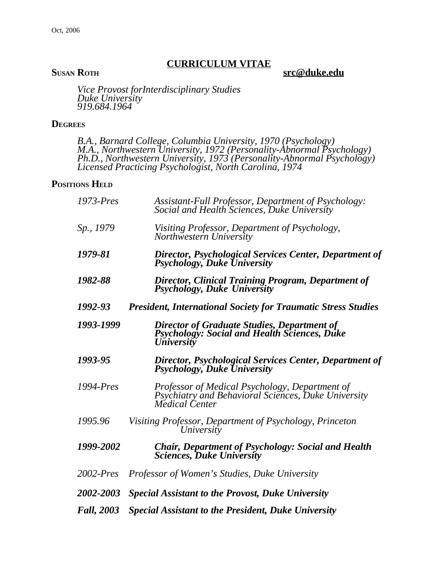### **CURRICULUM VITAE**

**SUSAN ROTH src@duke.edu**

*Vice Provost forInterdisciplinary Studies Duke University 919.684.1964*

#### **DEGREES**

*B.A., Barnard College, Columbia University, 1970 (Psychology) M.A., Northwestern University, 1972 (Personality-Abnormal Psychology) Ph.D., Northwestern University, 1973 (Personality-Abnormal Psychology) Licensed Practicing Psychologist, North Carolina, 1974*

## **POSITIONS HELD**

| 1973-Pres         | Assistant-Full Professor, Department of Psychology:<br>Social and Health Sciences, Duke University                       |
|-------------------|--------------------------------------------------------------------------------------------------------------------------|
| Sp., 1979         | Visiting Professor, Department of Psychology,<br>Northwestern University                                                 |
| 1979-81           | Director, Psychological Services Center, Department of<br>Psychology, Duke University                                    |
| 1982-88           | <b>Director, Clinical Training Program, Department of</b><br>Psychology, Duke University                                 |
| 1992-93           | <b>President, International Society for Traumatic Stress Studies</b>                                                     |
| 1993-1999         | <b>Director of Graduate Studies, Department of<br/>Psychology: Social and Health Sciences, Duke</b><br><i>University</i> |
| 1993-95           | <b>Director, Psychological Services Center, Department of</b><br>Psychology, Duke University                             |
| $1994$ -Pres      | Professor of Medical Psychology, Department of<br>Psychiatry and Behavioral Sciences, Duke University<br>Medical Center  |
| 1995.96           | Visiting Professor, Department of Psychology, Princeton<br>University                                                    |
| 1999-2002         | Chair, Department of Psychology: Social and Health<br><b>Sciences, Duke University</b>                                   |
| $2002$ -Pres      | <i>Professor of Women's Studies, Duke University</i>                                                                     |
| 2002-2003         | <i>Special Assistant to the Provost, Duke University</i>                                                                 |
| <b>Fall, 2003</b> | <b>Special Assistant to the President, Duke University</b>                                                               |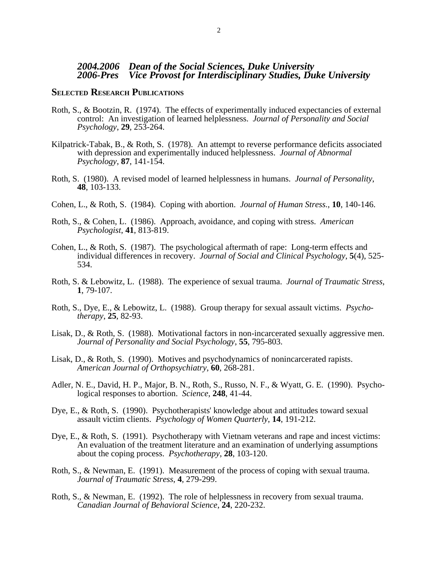#### **SELECTED RESEARCH PUBLICATIONS**

- Roth, S., & Bootzin, R. (1974). The effects of experimentally induced expectancies of external control: An investigation of learned helplessness. *Journal of Personality and Social Psychology*, **29**, 253-264.
- Kilpatrick-Tabak, B., & Roth, S. (1978). An attempt to reverse performance deficits associated with depression and experimentally induced helplessness. *Journal of Abnormal Psychology*, **87**, 141-154.
- Roth, S. (1980). A revised model of learned helplessness in humans. *Journal of Personality*, **48**, 103-133.
- Cohen, L., & Roth, S. (1984). Coping with abortion. *Journal of Human Stress.*, **10**, 140-146.
- Roth, S., & Cohen, L. (1986). Approach, avoidance, and coping with stress. *American Psychologist*, **41**, 813-819.
- Cohen, L., & Roth, S. (1987). The psychological aftermath of rape: Long-term effects and individual differences in recovery. *Journal of Social and Clinical Psychology*, **5**(4), 525- 534.
- Roth, S. & Lebowitz, L. (1988). The experience of sexual trauma. *Journal of Traumatic Stress*, **1**, 79-107.
- Roth, S., Dye, E., & Lebowitz, L. (1988). Group therapy for sexual assault victims. *Psychotherapy*, **25**, 82-93.
- Lisak, D., & Roth, S. (1988). Motivational factors in non-incarcerated sexually aggressive men. *Journal of Personality and Social Psychology*, **55**, 795-803.
- Lisak, D., & Roth, S. (1990). Motives and psychodynamics of nonincarcerated rapists. *American Journal of Orthopsychiatry*, **60**, 268-281.
- Adler, N. E., David, H. P., Major, B. N., Roth, S., Russo, N. F., & Wyatt, G. E. (1990). Psychological responses to abortion. *Science*, **248**, 41-44.
- Dye, E., & Roth, S. (1990). Psychotherapists' knowledge about and attitudes toward sexual assault victim clients. *Psychology of Women Quarterly*, **14**, 191-212.
- Dye, E., & Roth, S. (1991). Psychotherapy with Vietnam veterans and rape and incest victims: An evaluation of the treatment literature and an examination of underlying assumptions about the coping process. *Psychotherapy*, **28**, 103-120.
- Roth, S., & Newman, E. (1991). Measurement of the process of coping with sexual trauma. *Journal of Traumatic Stress*, **4**, 279-299.
- Roth, S., & Newman, E. (1992). The role of helplessness in recovery from sexual trauma. *Canadian Journal of Behavioral Science*, **24**, 220-232.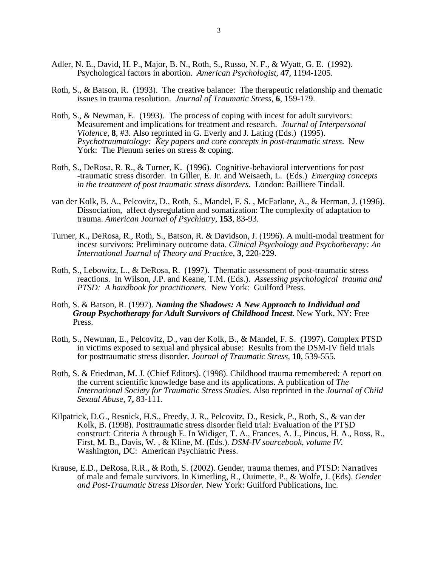- Adler, N. E., David, H. P., Major, B. N., Roth, S., Russo, N. F., & Wyatt, G. E. (1992). Psychological factors in abortion. *American Psychologist*, **47**, 1194-1205.
- Roth, S., & Batson, R. (1993). The creative balance: The therapeutic relationship and thematic issues in trauma resolution. *Journal of Traumatic Stress*, **6**, 159-179.
- Roth, S., & Newman, E. (1993). The process of coping with incest for adult survivors: Measurement and implications for treatment and research. *Journal of Interpersonal Violence*, **8**, #3. Also reprinted in G. Everly and J. Lating (Eds.) (1995). *Psychotraumatology: Key papers and core concepts in post-traumatic stress*. New York: The Plenum series on stress & coping.
- Roth, S., DeRosa, R. R., & Turner, K. (1996). Cognitive-behavioral interventions for post -traumatic stress disorder. In Giller, E. Jr. and Weisaeth, L. (Eds.) *Emerging concepts in the treatment of post traumatic stress disorders.* London: Bailliere Tindall.
- van der Kolk, B. A., Pelcovitz, D., Roth, S., Mandel, F. S. , McFarlane, A., & Herman, J. (1996). Dissociation, affect dysregulation and somatization: The complexity of adaptation to trauma. *American Journal of Psychiatry*, **153**, 83-93.
- Turner, K., DeRosa, R., Roth, S., Batson, R. & Davidson, J. (1996). A multi-modal treatment for incest survivors: Preliminary outcome data. *Clinical Psychology and Psychotherapy: An International Journal of Theory and Practic*e, **3**, 220-229.
- Roth, S., Lebowitz, L., & DeRosa, R. (1997). Thematic assessment of post-traumatic stress reactions. In Wilson, J.P. and Keane, T.M. (Eds.). *Assessing psychological trauma and PTSD: A handbook for practitioners.* New York: Guilford Press.
- Roth, S. & Batson, R. (1997). *Naming the Shadows: A New Approach to Individual and Group Psychotherapy for Adult Survivors of Childhood Incest*. New York, NY: Free Press.
- Roth, S., Newman, E., Pelcovitz, D., van der Kolk, B., & Mandel, F. S. (1997). Complex PTSD in victims exposed to sexual and physical abuse: Results from the DSM-IV field trials for posttraumatic stress disorder. *Journal of Traumatic Stress,* **10**, 539-555.
- Roth, S. & Friedman, M. J. (Chief Editors). (1998). Childhood trauma remembered: A report on the current scientific knowledge base and its applications. A publication of *The International Society for Traumatic Stress Studies*. Also reprinted in the *Journal of Child Sexual Abuse,* **7,** 83-111*.*
- Kilpatrick, D.G., Resnick, H.S., Freedy, J. R., Pelcovitz, D., Resick, P., Roth, S., & van der Kolk, B. (1998). Posttraumatic stress disorder field trial: Evaluation of the PTSD construct: Criteria A through E. In Widiger, T. A., Frances, A. J., Pincus, H. A., Ross, R., First, M. B., Davis, W. , & Kline, M. (Eds.). *DSM-IV sourcebook, volume IV.* Washington, DC: American Psychiatric Press.
- Krause, E.D., DeRosa, R.R., & Roth, S. (2002). Gender, trauma themes, and PTSD: Narratives of male and female survivors. In Kimerling, R., Ouimette, P., & Wolfe, J. (Eds). *Gender and Post-Traumatic Stress Disorder.* New York: Guilford Publications, Inc.